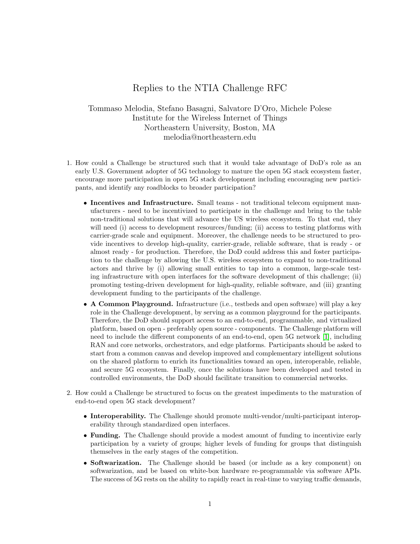## Replies to the NTIA Challenge RFC

Tommaso Melodia, Stefano Basagni, Salvatore D'Oro, Michele Polese Institute for the Wireless Internet of Things Northeastern University, Boston, MA melodia@northeastern.edu

- 1. How could a Challenge be structured such that it would take advantage of DoD's role as an early U.S. Government adopter of 5G technology to mature the open 5G stack ecosystem faster, encourage more participation in open 5G stack development including encouraging new participants, and identify any roadblocks to broader participation?
	- Incentives and Infrastructure. Small teams not traditional telecom equipment manufacturers - need to be incentivized to participate in the challenge and bring to the table non-traditional solutions that will advance the US wireless ecosystem. To that end, they will need (i) access to development resources/funding; (ii) access to testing platforms with carrier-grade scale and equipment. Moreover, the challenge needs to be structured to provide incentives to develop high-quality, carrier-grade, reliable software, that is ready - or almost ready - for production. Therefore, the DoD could address this and foster participation to the challenge by allowing the U.S. wireless ecosystem to expand to non-traditional actors and thrive by (i) allowing small entities to tap into a common, large-scale testing infrastructure with open interfaces for the software development of this challenge; (ii) promoting testing-driven development for high-quality, reliable software, and (iii) granting development funding to the participants of the challenge.
	- A Common Playground. Infrastructure (i.e., testbeds and open software) will play a key role in the Challenge development, by serving as a common playground for the participants. Therefore, the DoD should support access to an end-to-end, programmable, and virtualized platform, based on open - preferably open source - components. The Challenge platform will need to include the different components of an end-to-end, open 5G network [\[1\]](#page-5-0), including RAN and core networks, orchestrators, and edge platforms. Participants should be asked to start from a common canvas and develop improved and complementary intelligent solutions on the shared platform to enrich its functionalities toward an open, interoperable, reliable, and secure 5G ecosystem. Finally, once the solutions have been developed and tested in controlled environments, the DoD should facilitate transition to commercial networks.
- 2. How could a Challenge be structured to focus on the greatest impediments to the maturation of end-to-end open 5G stack development?
	- Interoperability. The Challenge should promote multi-vendor/multi-participant interoperability through standardized open interfaces.
	- Funding. The Challenge should provide a modest amount of funding to incentivize early participation by a variety of groups; higher levels of funding for groups that distinguish themselves in the early stages of the competition.
	- Softwarization. The Challenge should be based (or include as a key component) on softwarization, and be based on white-box hardware re-programmable via software APIs. The success of 5G rests on the ability to rapidly react in real-time to varying traffic demands,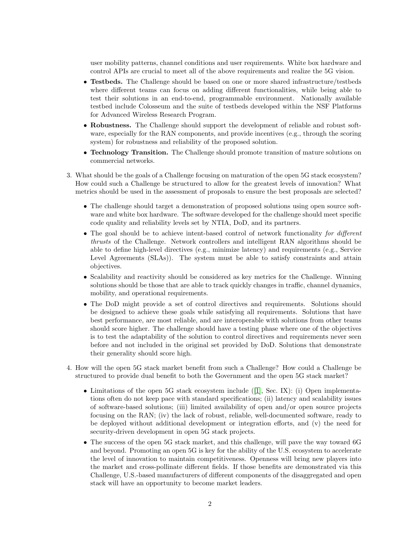user mobility patterns, channel conditions and user requirements. White box hardware and control APIs are crucial to meet all of the above requirements and realize the 5G vision.

- Testbeds. The Challenge should be based on one or more shared infrastructure/testbeds where different teams can focus on adding different functionalities, while being able to test their solutions in an end-to-end, programmable environment. Nationally available testbed include Colosseum and the suite of testbeds developed within the NSF Platforms for Advanced Wireless Research Program.
- Robustness. The Challenge should support the development of reliable and robust software, especially for the RAN components, and provide incentives (e.g., through the scoring system) for robustness and reliability of the proposed solution.
- Technology Transition. The Challenge should promote transition of mature solutions on commercial networks.
- 3. What should be the goals of a Challenge focusing on maturation of the open 5G stack ecosystem? How could such a Challenge be structured to allow for the greatest levels of innovation? What metrics should be used in the assessment of proposals to ensure the best proposals are selected?
	- The challenge should target a demonstration of proposed solutions using open source software and white box hardware. The software developed for the challenge should meet specific code quality and reliability levels set by NTIA, DoD, and its partners.
	- The goal should be to achieve intent-based control of network functionality for different thrusts of the Challenge. Network controllers and intelligent RAN algorithms should be able to define high-level directives (e.g., minimize latency) and requirements (e.g., Service Level Agreements (SLAs)). The system must be able to satisfy constraints and attain objectives.
	- Scalability and reactivity should be considered as key metrics for the Challenge. Winning solutions should be those that are able to track quickly changes in traffic, channel dynamics, mobility, and operational requirements.
	- The DoD might provide a set of control directives and requirements. Solutions should be designed to achieve these goals while satisfying all requirements. Solutions that have best performance, are most reliable, and are interoperable with solutions from other teams should score higher. The challenge should have a testing phase where one of the objectives is to test the adaptability of the solution to control directives and requirements never seen before and not included in the original set provided by DoD. Solutions that demonstrate their generality should score high.
- 4. How will the open 5G stack market benefit from such a Challenge? How could a Challenge be structured to provide dual benefit to both the Government and the open 5G stack market?
	- Limitations of the open 5G stack ecosystem include  $([1], \text{ Sec. } IX)$  $([1], \text{ Sec. } IX)$  $([1], \text{ Sec. } IX)$ : (i) Open implementations often do not keep pace with standard specifications; (ii) latency and scalability issues of software-based solutions; (iii) limited availability of open and/or open source projects focusing on the RAN; (iv) the lack of robust, reliable, well-documented software, ready to be deployed without additional development or integration efforts, and (v) the need for security-driven development in open 5G stack projects.
	- The success of the open 5G stack market, and this challenge, will pave the way toward 6G and beyond. Promoting an open 5G is key for the ability of the U.S. ecosystem to accelerate the level of innovation to maintain competitiveness. Openness will bring new players into the market and cross-pollinate different fields. If those benefits are demonstrated via this Challenge, U.S.-based manufacturers of different components of the disaggregated and open stack will have an opportunity to become market leaders.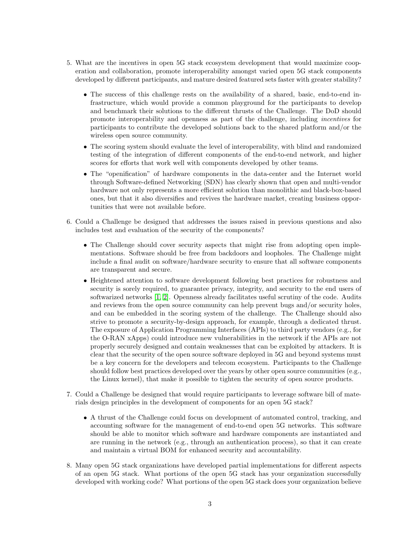- 5. What are the incentives in open 5G stack ecosystem development that would maximize cooperation and collaboration, promote interoperability amongst varied open 5G stack components developed by different participants, and mature desired featured sets faster with greater stability?
	- The success of this challenge rests on the availability of a shared, basic, end-to-end infrastructure, which would provide a common playground for the participants to develop and benchmark their solutions to the different thrusts of the Challenge. The DoD should promote interoperability and openness as part of the challenge, including incentives for participants to contribute the developed solutions back to the shared platform and/or the wireless open source community.
	- The scoring system should evaluate the level of interoperability, with blind and randomized testing of the integration of different components of the end-to-end network, and higher scores for efforts that work well with components developed by other teams.
	- The "openification" of hardware components in the data-center and the Internet world through Software-defined Networking (SDN) has clearly shown that open and multi-vendor hardware not only represents a more efficient solution than monolithic and black-box-based ones, but that it also diversifies and revives the hardware market, creating business opportunities that were not available before.
- 6. Could a Challenge be designed that addresses the issues raised in previous questions and also includes test and evaluation of the security of the components?
	- The Challenge should cover security aspects that might rise from adopting open implementations. Software should be free from backdoors and loopholes. The Challenge might include a final audit on software/hardware security to ensure that all software components are transparent and secure.
	- Heightened attention to software development following best practices for robustness and security is sorely required, to guarantee privacy, integrity, and security to the end users of softwarized networks [\[1,](#page-5-0) [2\]](#page-5-1). Openness already facilitates useful scrutiny of the code. Audits and reviews from the open source community can help prevent bugs and/or security holes, and can be embedded in the scoring system of the challenge. The Challenge should also strive to promote a security-by-design approach, for example, through a dedicated thrust. The exposure of Application Programming Interfaces (APIs) to third party vendors (e.g., for the O-RAN xApps) could introduce new vulnerabilities in the network if the APIs are not properly securely designed and contain weaknesses that can be exploited by attackers. It is clear that the security of the open source software deployed in 5G and beyond systems must be a key concern for the developers and telecom ecosystem. Participants to the Challenge should follow best practices developed over the years by other open source communities (e.g., the Linux kernel), that make it possible to tighten the security of open source products.
- 7. Could a Challenge be designed that would require participants to leverage software bill of materials design principles in the development of components for an open 5G stack?
	- A thrust of the Challenge could focus on development of automated control, tracking, and accounting software for the management of end-to-end open 5G networks. This software should be able to monitor which software and hardware components are instantiated and are running in the network (e.g., through an authentication process), so that it can create and maintain a virtual BOM for enhanced security and accountability.
- 8. Many open 5G stack organizations have developed partial implementations for different aspects of an open 5G stack. What portions of the open 5G stack has your organization successfully developed with working code? What portions of the open 5G stack does your organization believe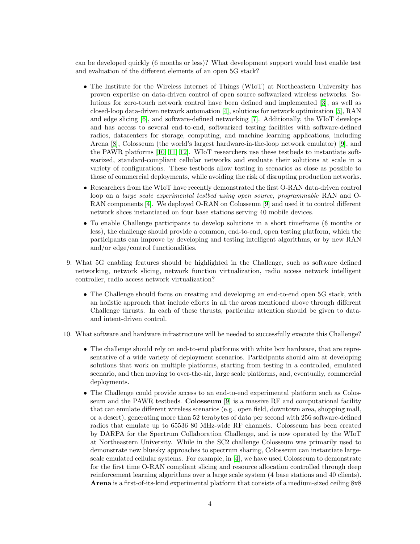can be developed quickly (6 months or less)? What development support would best enable test and evaluation of the different elements of an open 5G stack?

- The Institute for the Wireless Internet of Things (WIoT) at Northeastern University has proven expertise on data-driven control of open source softwarized wireless networks. Solutions for zero-touch network control have been defined and implemented [\[3\]](#page-5-2), as well as closed-loop data-driven network automation [\[4\]](#page-5-3), solutions for network optimization [\[5\]](#page-5-4), RAN and edge slicing [\[6\]](#page-5-5), and software-defined networking [\[7\]](#page-5-6). Additionally, the WIoT develops and has access to several end-to-end, softwarized testing facilities with software-defined radios, datacenters for storage, computing, and machine learning applications, including Arena [\[8\]](#page-5-7), Colosseum (the world's largest hardware-in-the-loop network emulator) [\[9\]](#page-5-8), and the PAWR platforms [\[10,](#page-5-9) [11,](#page-5-10) [12\]](#page-5-11). WIoT researchers use these testbeds to instantiate softwarized, standard-compliant cellular networks and evaluate their solutions at scale in a variety of configurations. These testbeds allow testing in scenarios as close as possible to those of commercial deployments, while avoiding the risk of disrupting production networks.
- Researchers from the WIoT have recently demonstrated the first O-RAN data-driven control loop on a large scale experimental testbed using open source, programmable RAN and O-RAN components [\[4\]](#page-5-3). We deployed O-RAN on Colosseum [\[9\]](#page-5-8) and used it to control different network slices instantiated on four base stations serving 40 mobile devices.
- To enable Challenge participants to develop solutions in a short timeframe (6 months or less), the challenge should provide a common, end-to-end, open testing platform, which the participants can improve by developing and testing intelligent algorithms, or by new RAN and/or edge/control functionalities.
- 9. What 5G enabling features should be highlighted in the Challenge, such as software defined networking, network slicing, network function virtualization, radio access network intelligent controller, radio access network virtualization?
	- The Challenge should focus on creating and developing an end-to-end open 5G stack, with an holistic approach that include efforts in all the areas mentioned above through different Challenge thrusts. In each of these thrusts, particular attention should be given to dataand intent-driven control.
- 10. What software and hardware infrastructure will be needed to successfully execute this Challenge?
	- The challenge should rely on end-to-end platforms with white box hardware, that are representative of a wide variety of deployment scenarios. Participants should aim at developing solutions that work on multiple platforms, starting from testing in a controlled, emulated scenario, and then moving to over-the-air, large scale platforms, and, eventually, commercial deployments.
	- The Challenge could provide access to an end-to-end experimental platform such as Colosseum and the PAWR testbeds. Colosseum [\[9\]](#page-5-8) is a massive RF and computational facility that can emulate different wireless scenarios (e.g., open field, downtown area, shopping mall, or a desert), generating more than 52 terabytes of data per second with 256 software-defined radios that emulate up to 65536 80 MHz-wide RF channels. Colosseum has been created by DARPA for the Spectrum Collaboration Challenge, and is now operated by the WIoT at Northeastern University. While in the SC2 challenge Colosseum was primarily used to demonstrate new bluesky approaches to spectrum sharing, Colosseum can instantiate largescale emulated cellular systems. For example, in [\[4\]](#page-5-3), we have used Colosseum to demonstrate for the first time O-RAN compliant slicing and resource allocation controlled through deep reinforcement learning algorithms over a large scale system (4 base stations and 40 clients). Arena is a first-of-its-kind experimental platform that consists of a medium-sized ceiling 8x8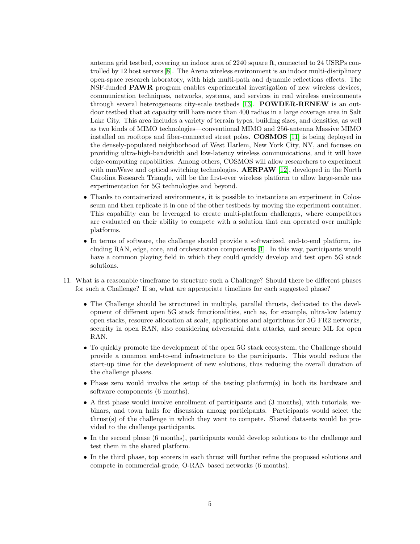antenna grid testbed, covering an indoor area of 2240 square ft, connected to 24 USRPs controlled by 12 host servers [\[8\]](#page-5-7). The Arena wireless environment is an indoor multi-disciplinary open-space research laboratory, with high multi-path and dynamic reflections effects. The NSF-funded PAWR program enables experimental investigation of new wireless devices, communication techniques, networks, systems, and services in real wireless environments through several heterogeneous city-scale testbeds [\[13\]](#page-5-12). POWDER-RENEW is an outdoor testbed that at capacity will have more than 400 radios in a large coverage area in Salt Lake City. This area includes a variety of terrain types, building sizes, and densities, as well as two kinds of MIMO technologies—conventional MIMO and 256-antenna Massive MIMO installed on rooftops and fiber-connected street poles. COSMOS [\[11\]](#page-5-10) is being deployed in the densely-populated neighborhood of West Harlem, New York City, NY, and focuses on providing ultra-high-bandwidth and low-latency wireless communications, and it will have edge-computing capabilities. Among others, COSMOS will allow researchers to experiment with mmWave and optical switching technologies. **AERPAW** [\[12\]](#page-5-11), developed in the North Carolina Research Triangle, will be the first-ever wireless platform to allow large-scale uas experimentation for 5G technologies and beyond.

- Thanks to containerized environments, it is possible to instantiate an experiment in Colosseum and then replicate it in one of the other testbeds by moving the experiment container. This capability can be leveraged to create multi-platform challenges, where competitors are evaluated on their ability to compete with a solution that can operated over multiple platforms.
- In terms of software, the challenge should provide a softwarized, end-to-end platform, including RAN, edge, core, and orchestration components [\[1\]](#page-5-0). In this way, participants would have a common playing field in which they could quickly develop and test open 5G stack solutions.
- 11. What is a reasonable timeframe to structure such a Challenge? Should there be different phases for such a Challenge? If so, what are appropriate timelines for each suggested phase?
	- The Challenge should be structured in multiple, parallel thrusts, dedicated to the development of different open 5G stack functionalities, such as, for example, ultra-low latency open stacks, resource allocation at scale, applications and algorithms for 5G FR2 networks, security in open RAN, also considering adversarial data attacks, and secure ML for open RAN.
	- To quickly promote the development of the open 5G stack ecosystem, the Challenge should provide a common end-to-end infrastructure to the participants. This would reduce the start-up time for the development of new solutions, thus reducing the overall duration of the challenge phases.
	- Phase zero would involve the setup of the testing platform(s) in both its hardware and software components (6 months).
	- A first phase would involve enrollment of participants and (3 months), with tutorials, webinars, and town halls for discussion among participants. Participants would select the thrust(s) of the challenge in which they want to compete. Shared datasets would be provided to the challenge participants.
	- In the second phase (6 months), participants would develop solutions to the challenge and test them in the shared platform.
	- In the third phase, top scorers in each thrust will further refine the proposed solutions and compete in commercial-grade, O-RAN based networks (6 months).